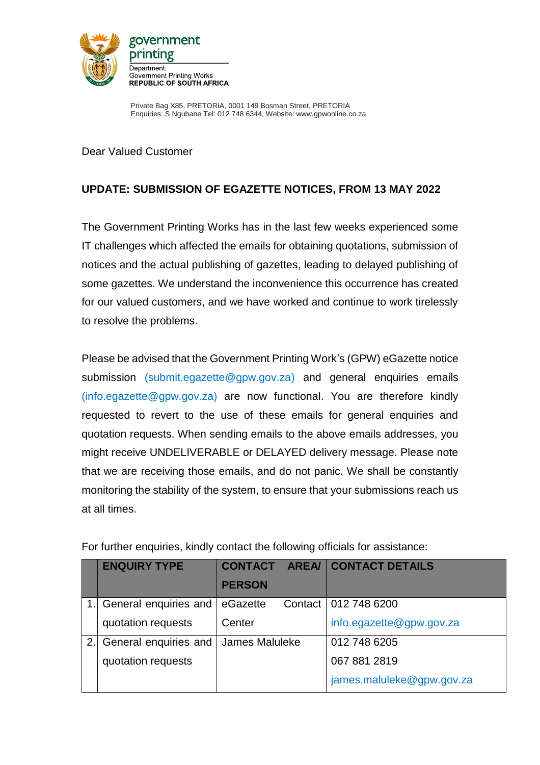

Private Bag X85, PRETORIA, 0001 149 Bosman Street, PRETORIA Enquiries: S Ngubane Tel: 012 748 6344, Website: www.gpwonline.co.za

Dear Valued Customer

## **UPDATE: SUBMISSION OF EGAZETTE NOTICES, FROM 13 MAY 2022**

The Government Printing Works has in the last few weeks experienced some IT challenges which affected the emails for obtaining quotations, submission of notices and the actual publishing of gazettes, leading to delayed publishing of some gazettes. We understand the inconvenience this occurrence has created for our valued customers, and we have worked and continue to work tirelessly to resolve the problems.

Please be advised that the Government Printing Work's (GPW) eGazette notice submission [\(submit.egazette@gpw.gov.za\)](mailto:submit.egazette@gpw.gov.za) and general enquiries emails (info.egazette@gpw.gov.za) are now functional. You are therefore kindly requested to revert to the use of these emails for general enquiries and quotation requests. When sending emails to the above emails addresses, you might receive UNDELIVERABLE or DELAYED delivery message. Please note that we are receiving those emails, and do not panic. We shall be constantly monitoring the stability of the system, to ensure that your submissions reach us at all times.

|    | <b>ENQUIRY TYPE</b>   |                |  | <b>CONTACT AREA/ CONTACT DETAILS</b> |
|----|-----------------------|----------------|--|--------------------------------------|
|    |                       | <b>PERSON</b>  |  |                                      |
|    | General enquiries and | eGazette       |  | Contact   012 748 6200               |
|    | quotation requests    | Center         |  | info.egazette@gpw.gov.za             |
| 2. | General enquiries and | James Maluleke |  | 012 748 6205                         |
|    | quotation requests    |                |  | 067 881 2819                         |
|    |                       |                |  | james.maluleke@gpw.gov.za            |

For further enquiries, kindly contact the following officials for assistance: